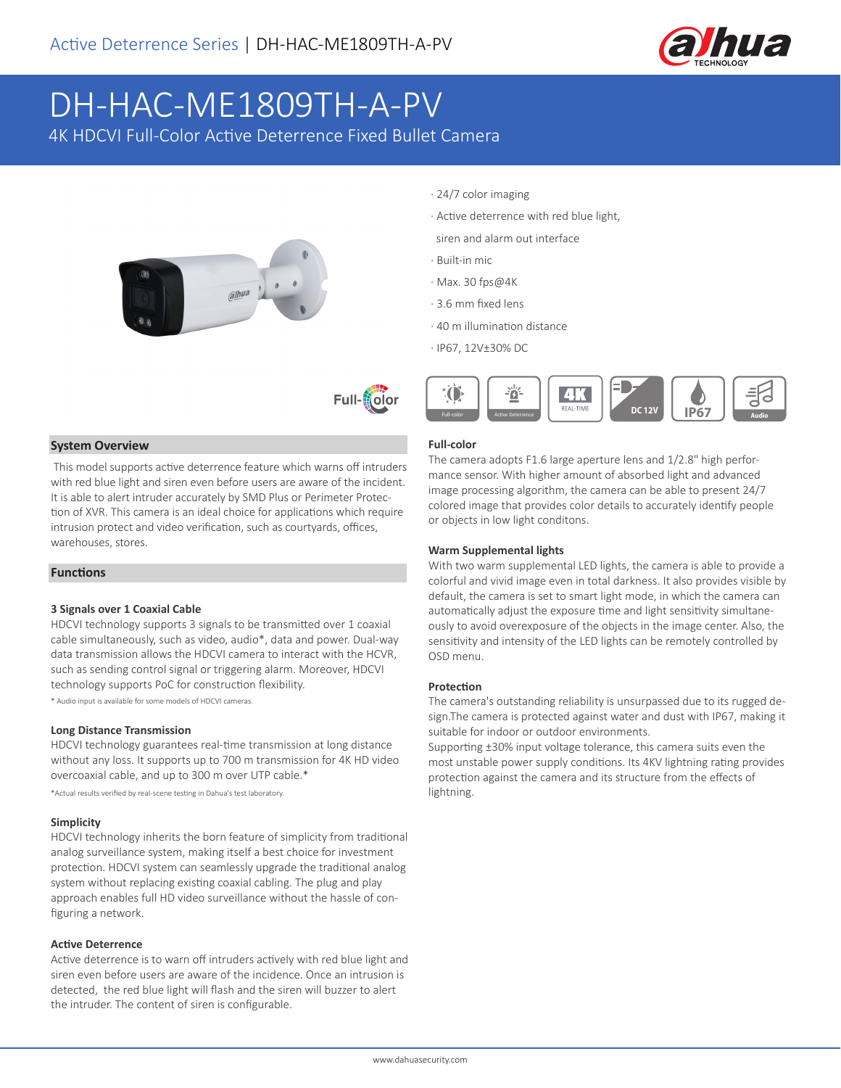

# DH-HAC-ME1809TH-A-PV

4K HDCVI Full-Color Active Deterrence Fixed Bullet Camera





#### **System Overview**

 This model supports active deterrence feature which warns off intruders with red blue light and siren even before users are aware of the incident. It is able to alert intruder accurately by SMD Plus or Perimeter Protection of XVR. This camera is an ideal choice for applications which require intrusion protect and video verification, such as courtyards, offices, warehouses, stores.

#### **Functions**

#### **3 Signals over 1 Coaxial Cable**

HDCVI technology supports 3 signals to be transmitted over 1 coaxial cable simultaneously, such as video, audio\*, data and power. Dual-way data transmission allows the HDCVI camera to interact with the HCVR, such as sending control signal or triggering alarm. Moreover, HDCVI technology supports PoC for construction flexibility. \* Audio input is available for some models of HDCVI cameras.

#### **Long Distance Transmission**

HDCVI technology guarantees real-time transmission at long distance without any loss. It supports up to 700 m transmission for 4K HD video overcoaxial cable, and up to 300 m over UTP cable.\*

\*Actual results verified by real-scene testing in Dahua's test laboratory.

#### **Simplicity**

HDCVI technology inherits the born feature of simplicity from traditional analog surveillance system, making itself a best choice for investment protection. HDCVI system can seamlessly upgrade the traditional analog system without replacing existing coaxial cabling. The plug and play approach enables full HD video surveillance without the hassle of configuring a network.

#### **Active Deterrence**

Active deterrence is to warn off intruders actively with red blue light and siren even before users are aware of the incidence. Once an intrusion is detected, the red blue light will flash and the siren will buzzer to alert the intruder. The content of siren is configurable.

- · 24/7 color imaging
- · Active deterrence with red blue light,
- siren and alarm out interface
- · Built-in mic
- · Max. 30 fps@4K
- · 3.6 mm fixed lens
- · 40 m illumination distance
- · IP67, 12V±30% DC



#### **Full-color**

The camera adopts F1.6 large aperture lens and 1/2.8" high performance sensor. With higher amount of absorbed light and advanced image processing algorithm, the camera can be able to present 24/7 colored image that provides color details to accurately identify people or objects in low light conditons.

#### **Warm Supplemental lights**

With two warm supplemental LED lights, the camera is able to provide a colorful and vivid image even in total darkness. It also provides visible by default, the camera is set to smart light mode, in which the camera can automatically adjust the exposure time and light sensitivity simultaneously to avoid overexposure of the objects in the image center. Also, the sensitivity and intensity of the LED lights can be remotely controlled by OSD menu.

#### **Protection**

The camera's outstanding reliability is unsurpassed due to its rugged design.The camera is protected against water and dust with IP67, making it suitable for indoor or outdoor environments.

Supporting ±30% input voltage tolerance, this camera suits even the most unstable power supply conditions. Its 4KV lightning rating provides protection against the camera and its structure from the effects of lightning.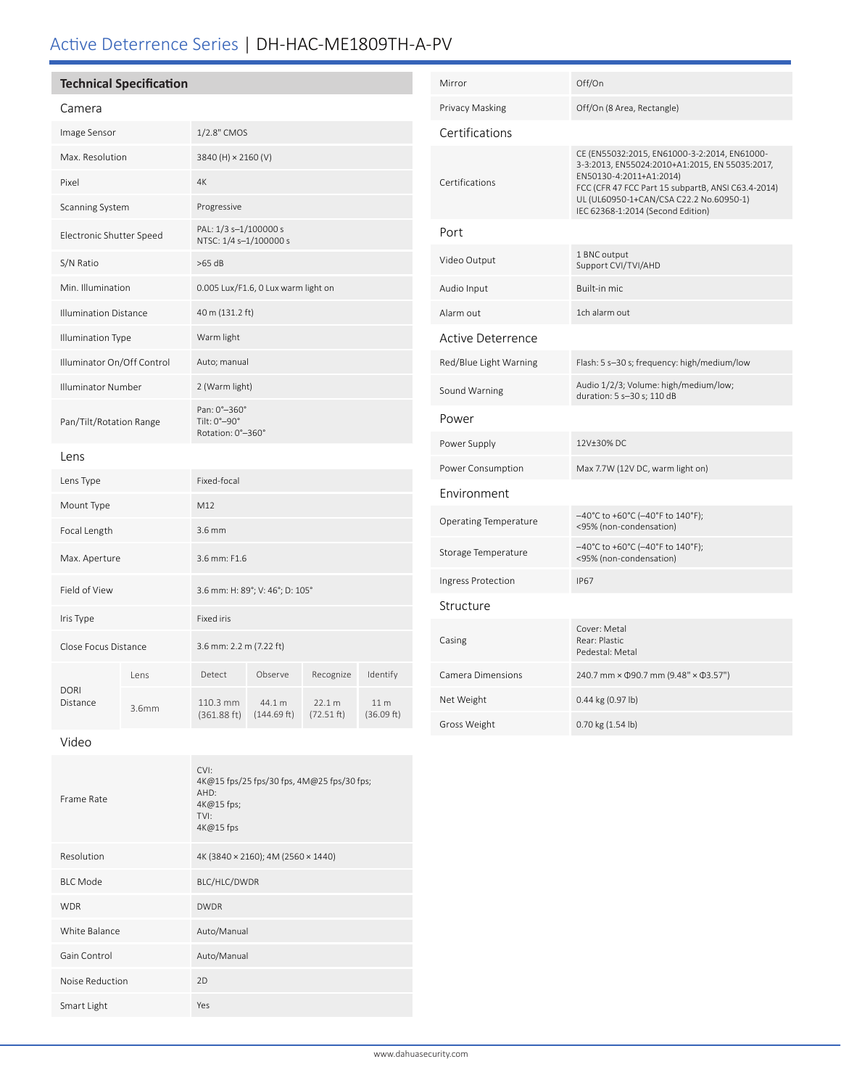# Active Deterrence Series | DH-HAC-ME1809TH-A-PV

| <b>Technical Specification</b>    |       |                                                 |             |            |                               | Mirror                       | Off/On                                                                                                                                                                          |
|-----------------------------------|-------|-------------------------------------------------|-------------|------------|-------------------------------|------------------------------|---------------------------------------------------------------------------------------------------------------------------------------------------------------------------------|
| Camera                            |       |                                                 |             |            |                               | Privacy Masking              | Off/On (8 Area, Rectangle)                                                                                                                                                      |
| Image Sensor                      |       | 1/2.8" CMOS                                     |             |            |                               | Certifications               |                                                                                                                                                                                 |
| Max. Resolution                   |       | 3840 (H) × 2160 (V)                             |             |            |                               | Certifications               | CE (EN55032:2015, EN61000-3-2:2014, EN61000-<br>3-3:2013, EN55024:2010+A1:2015, EN 55035:2017,<br>EN50130-4:2011+A1:2014)<br>FCC (CFR 47 FCC Part 15 subpartB, ANSI C63.4-2014) |
| Pixel                             |       | 4K                                              |             |            |                               |                              |                                                                                                                                                                                 |
| Scanning System                   |       | Progressive                                     |             |            |                               |                              | UL (UL60950-1+CAN/CSA C22.2 No.60950-1)<br>IEC 62368-1:2014 (Second Edition)                                                                                                    |
| Electronic Shutter Speed          |       | PAL: 1/3 s-1/100000 s<br>NTSC: 1/4 s-1/100000 s |             |            |                               | Port                         |                                                                                                                                                                                 |
| S/N Ratio                         |       | $>65$ dB                                        |             |            |                               | Video Output                 | 1 BNC output<br>Support CVI/TVI/AHD                                                                                                                                             |
| Min. Illumination                 |       | 0.005 Lux/F1.6, 0 Lux warm light on             |             |            |                               | Audio Input                  | Built-in mic                                                                                                                                                                    |
| <b>Illumination Distance</b>      |       | 40 m (131.2 ft)                                 |             |            |                               | Alarm out                    | 1ch alarm out                                                                                                                                                                   |
| <b>Illumination Type</b>          |       | Warm light                                      |             |            |                               | Active Deterrence            |                                                                                                                                                                                 |
| Illuminator On/Off Control        |       | Auto; manual                                    |             |            |                               | Red/Blue Light Warning       | Flash: 5 s-30 s; frequency: high/medium/low                                                                                                                                     |
| <b>Illuminator Number</b>         |       | 2 (Warm light)                                  |             |            |                               | Sound Warning                | Audio 1/2/3; Volume: high/medium/low;<br>duration: 5 s-30 s; 110 dB                                                                                                             |
| Pan/Tilt/Rotation Range           |       | Pan: 0°-360°<br>Tilt: 0°-90°                    |             |            |                               | Power                        |                                                                                                                                                                                 |
|                                   |       | Rotation: 0°-360°                               |             |            |                               | Power Supply                 | 12V±30% DC                                                                                                                                                                      |
| Lens                              |       |                                                 |             |            |                               | Power Consumption            | Max 7.7W (12V DC, warm light on)                                                                                                                                                |
| Lens Type                         |       | Fixed-focal                                     |             |            |                               | Environment                  |                                                                                                                                                                                 |
| Mount Type<br>Focal Length        |       | M12<br>$3.6$ mm                                 |             |            |                               | <b>Operating Temperature</b> | $-40^{\circ}$ C to +60 $^{\circ}$ C (-40 $^{\circ}$ F to 140 $^{\circ}$ F);<br><95% (non-condensation)                                                                          |
| Max. Aperture                     |       | 3.6 mm: F1.6                                    |             |            |                               | Storage Temperature          | $-40^{\circ}$ C to +60 $^{\circ}$ C (-40 $^{\circ}$ F to 140 $^{\circ}$ F);<br><95% (non-condensation)                                                                          |
| Field of View                     |       |                                                 |             |            |                               | Ingress Protection           | <b>IP67</b>                                                                                                                                                                     |
|                                   |       | 3.6 mm: H: 89°; V: 46°; D: 105°                 |             |            |                               | Structure                    |                                                                                                                                                                                 |
| Iris Type<br>Close Focus Distance |       | Fixed iris<br>3.6 mm: 2.2 m (7.22 ft)           |             |            |                               | Casing                       | Cover: Metal<br>Rear: Plastic<br>Pedestal: Metal                                                                                                                                |
| <b>DORI</b><br>Distance           | Lens  | Detect                                          | Observe     | Recognize  | Identify                      | <b>Camera Dimensions</b>     | 240.7 mm × $\Phi$ 90.7 mm (9.48" × $\Phi$ 3.57")                                                                                                                                |
|                                   |       | 110.3 mm                                        | 44.1 m      | 22.1 m     | 11 <sub>m</sub><br>(36.09 ft) | Net Weight                   | 0.44 kg (0.97 lb)                                                                                                                                                               |
|                                   | 3.6mm | (361.88 ft)                                     | (144.69 ft) | (72.51 ft) |                               | Gross Weight                 | 0.70 kg (1.54 lb)                                                                                                                                                               |

Video

| Frame Rate      | CVI:<br>4K@15 fps/25 fps/30 fps, 4M@25 fps/30 fps;<br>AHD:<br>4K@15 fps;<br>TVI:<br>4K@15 fps |
|-----------------|-----------------------------------------------------------------------------------------------|
| Resolution      | 4K (3840 × 2160); 4M (2560 × 1440)                                                            |
| <b>BIC</b> Mode | BLC/HLC/DWDR                                                                                  |
| <b>WDR</b>      | <b>DWDR</b>                                                                                   |
| White Balance   | Auto/Manual                                                                                   |
| Gain Control    | Auto/Manual                                                                                   |
| Noise Reduction | 2D                                                                                            |
| Smart Light     | Yes                                                                                           |